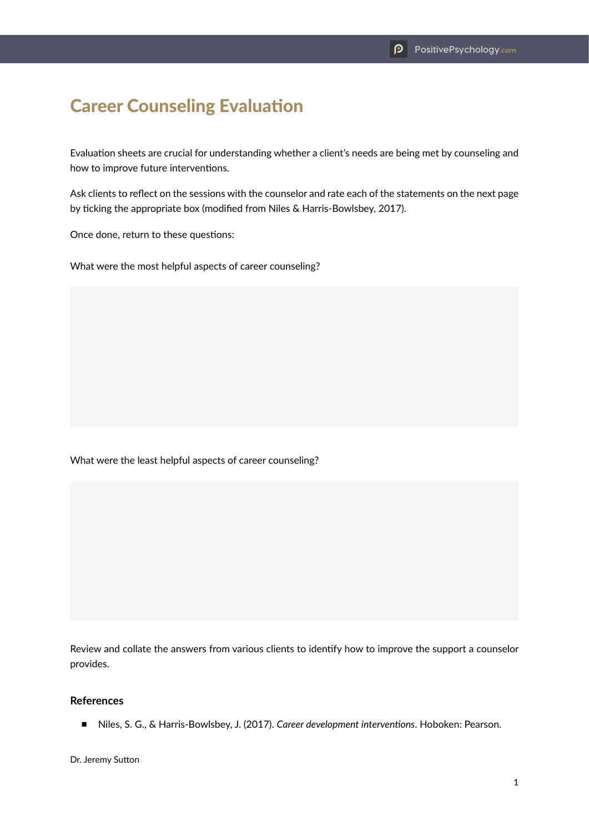## Career Counseling Evaluation

Evaluation sheets are crucial for understanding whether a client's needs are being met by counseling and how to improve future interventions.

Ask clients to reflect on the sessions with the counselor and rate each of the statements on the next page by ticking the appropriate box (modified from Niles & Harris-Bowlsbey, 2017).

Once done, return to these questions:

What were the most helpful aspects of career counseling?

What were the least helpful aspects of career counseling?

Review and collate the answers from various clients to identify how to improve the support a counselor provides.

## **References**

■ Niles, S. G., & Harris-Bowlsbey, J. (2017). *Career development interventions*. Hoboken: Pearson.

Dr. Jeremy Sutton